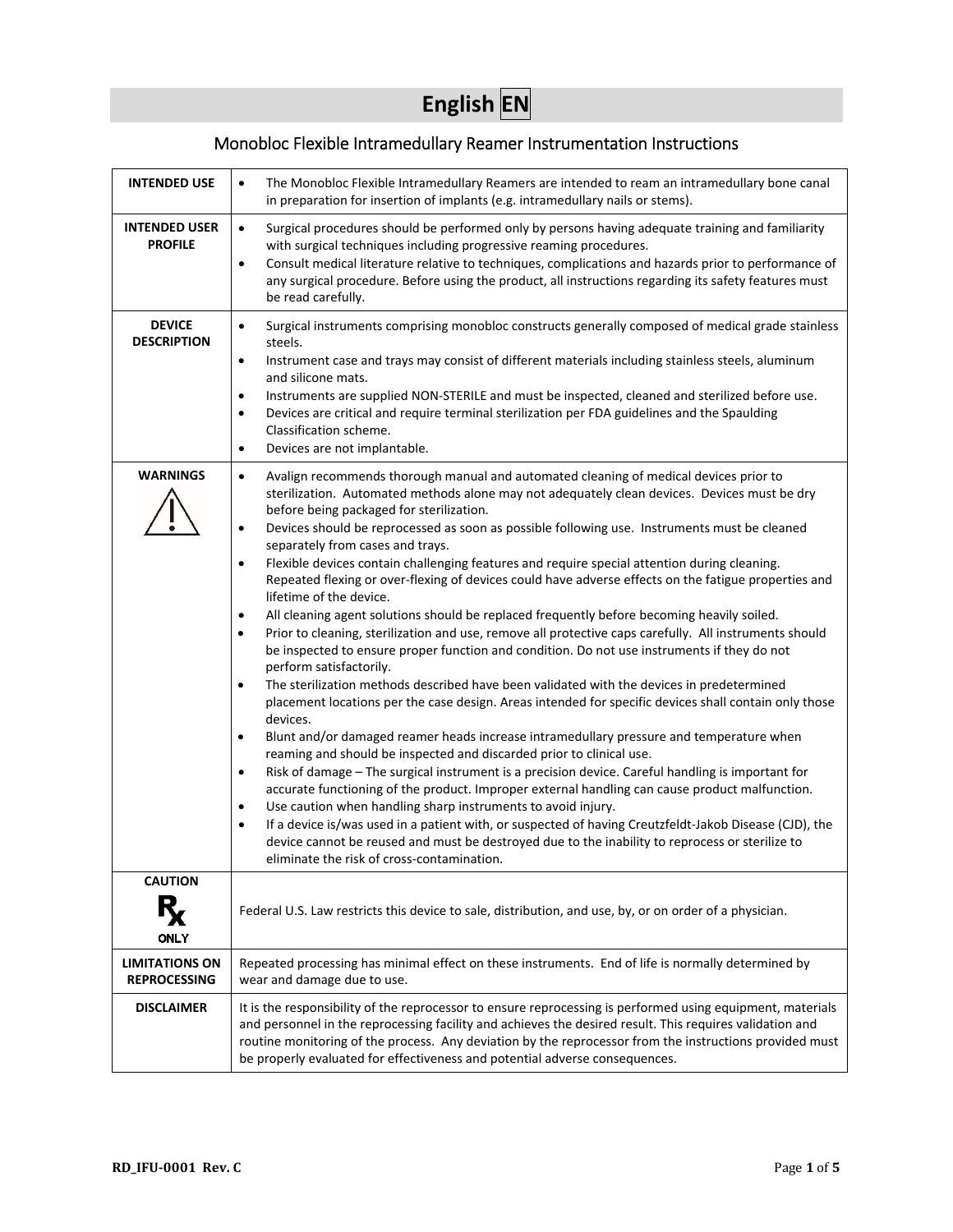# **English EN**

# Monobloc Flexible Intramedullary Reamer Instrumentation Instructions

| <b>INTENDED USE</b>                          | The Monobloc Flexible Intramedullary Reamers are intended to ream an intramedullary bone canal<br>$\bullet$<br>in preparation for insertion of implants (e.g. intramedullary nails or stems).                                                                                                                                                                                                                                                                                                                                                                                                                                                                                                                                                                                                                                                                                                                                                                                                                                                                                                                                                                                                                                                                                                                                                                                                                                                                                                                                                                                                                                                                                                                                                                                                                                                                                                                                                                                                       |
|----------------------------------------------|-----------------------------------------------------------------------------------------------------------------------------------------------------------------------------------------------------------------------------------------------------------------------------------------------------------------------------------------------------------------------------------------------------------------------------------------------------------------------------------------------------------------------------------------------------------------------------------------------------------------------------------------------------------------------------------------------------------------------------------------------------------------------------------------------------------------------------------------------------------------------------------------------------------------------------------------------------------------------------------------------------------------------------------------------------------------------------------------------------------------------------------------------------------------------------------------------------------------------------------------------------------------------------------------------------------------------------------------------------------------------------------------------------------------------------------------------------------------------------------------------------------------------------------------------------------------------------------------------------------------------------------------------------------------------------------------------------------------------------------------------------------------------------------------------------------------------------------------------------------------------------------------------------------------------------------------------------------------------------------------------------|
| <b>INTENDED USER</b><br><b>PROFILE</b>       | Surgical procedures should be performed only by persons having adequate training and familiarity<br>$\bullet$<br>with surgical techniques including progressive reaming procedures.<br>Consult medical literature relative to techniques, complications and hazards prior to performance of<br>$\bullet$<br>any surgical procedure. Before using the product, all instructions regarding its safety features must<br>be read carefully.                                                                                                                                                                                                                                                                                                                                                                                                                                                                                                                                                                                                                                                                                                                                                                                                                                                                                                                                                                                                                                                                                                                                                                                                                                                                                                                                                                                                                                                                                                                                                             |
| <b>DEVICE</b><br><b>DESCRIPTION</b>          | Surgical instruments comprising monobloc constructs generally composed of medical grade stainless<br>$\bullet$<br>steels.<br>Instrument case and trays may consist of different materials including stainless steels, aluminum<br>$\bullet$<br>and silicone mats.<br>Instruments are supplied NON-STERILE and must be inspected, cleaned and sterilized before use.<br>$\bullet$<br>Devices are critical and require terminal sterilization per FDA guidelines and the Spaulding<br>$\bullet$<br>Classification scheme.<br>Devices are not implantable.<br>٠                                                                                                                                                                                                                                                                                                                                                                                                                                                                                                                                                                                                                                                                                                                                                                                                                                                                                                                                                                                                                                                                                                                                                                                                                                                                                                                                                                                                                                        |
| <b>WARNINGS</b>                              | Avalign recommends thorough manual and automated cleaning of medical devices prior to<br>$\bullet$<br>sterilization. Automated methods alone may not adequately clean devices. Devices must be dry<br>before being packaged for sterilization.<br>Devices should be reprocessed as soon as possible following use. Instruments must be cleaned<br>$\bullet$<br>separately from cases and trays.<br>Flexible devices contain challenging features and require special attention during cleaning.<br>$\bullet$<br>Repeated flexing or over-flexing of devices could have adverse effects on the fatigue properties and<br>lifetime of the device.<br>All cleaning agent solutions should be replaced frequently before becoming heavily soiled.<br>$\bullet$<br>Prior to cleaning, sterilization and use, remove all protective caps carefully. All instruments should<br>$\bullet$<br>be inspected to ensure proper function and condition. Do not use instruments if they do not<br>perform satisfactorily.<br>The sterilization methods described have been validated with the devices in predetermined<br>$\bullet$<br>placement locations per the case design. Areas intended for specific devices shall contain only those<br>devices.<br>Blunt and/or damaged reamer heads increase intramedullary pressure and temperature when<br>$\bullet$<br>reaming and should be inspected and discarded prior to clinical use.<br>Risk of damage - The surgical instrument is a precision device. Careful handling is important for<br>$\bullet$<br>accurate functioning of the product. Improper external handling can cause product malfunction.<br>Use caution when handling sharp instruments to avoid injury.<br>$\bullet$<br>If a device is/was used in a patient with, or suspected of having Creutzfeldt-Jakob Disease (CJD), the<br>$\bullet$<br>device cannot be reused and must be destroyed due to the inability to reprocess or sterilize to<br>eliminate the risk of cross-contamination. |
| <b>CAUTION</b>                               |                                                                                                                                                                                                                                                                                                                                                                                                                                                                                                                                                                                                                                                                                                                                                                                                                                                                                                                                                                                                                                                                                                                                                                                                                                                                                                                                                                                                                                                                                                                                                                                                                                                                                                                                                                                                                                                                                                                                                                                                     |
| <b>ONLY</b>                                  | Federal U.S. Law restricts this device to sale, distribution, and use, by, or on order of a physician.                                                                                                                                                                                                                                                                                                                                                                                                                                                                                                                                                                                                                                                                                                                                                                                                                                                                                                                                                                                                                                                                                                                                                                                                                                                                                                                                                                                                                                                                                                                                                                                                                                                                                                                                                                                                                                                                                              |
| <b>LIMITATIONS ON</b><br><b>REPROCESSING</b> | Repeated processing has minimal effect on these instruments. End of life is normally determined by<br>wear and damage due to use.                                                                                                                                                                                                                                                                                                                                                                                                                                                                                                                                                                                                                                                                                                                                                                                                                                                                                                                                                                                                                                                                                                                                                                                                                                                                                                                                                                                                                                                                                                                                                                                                                                                                                                                                                                                                                                                                   |
| <b>DISCLAIMER</b>                            | It is the responsibility of the reprocessor to ensure reprocessing is performed using equipment, materials<br>and personnel in the reprocessing facility and achieves the desired result. This requires validation and<br>routine monitoring of the process. Any deviation by the reprocessor from the instructions provided must<br>be properly evaluated for effectiveness and potential adverse consequences.                                                                                                                                                                                                                                                                                                                                                                                                                                                                                                                                                                                                                                                                                                                                                                                                                                                                                                                                                                                                                                                                                                                                                                                                                                                                                                                                                                                                                                                                                                                                                                                    |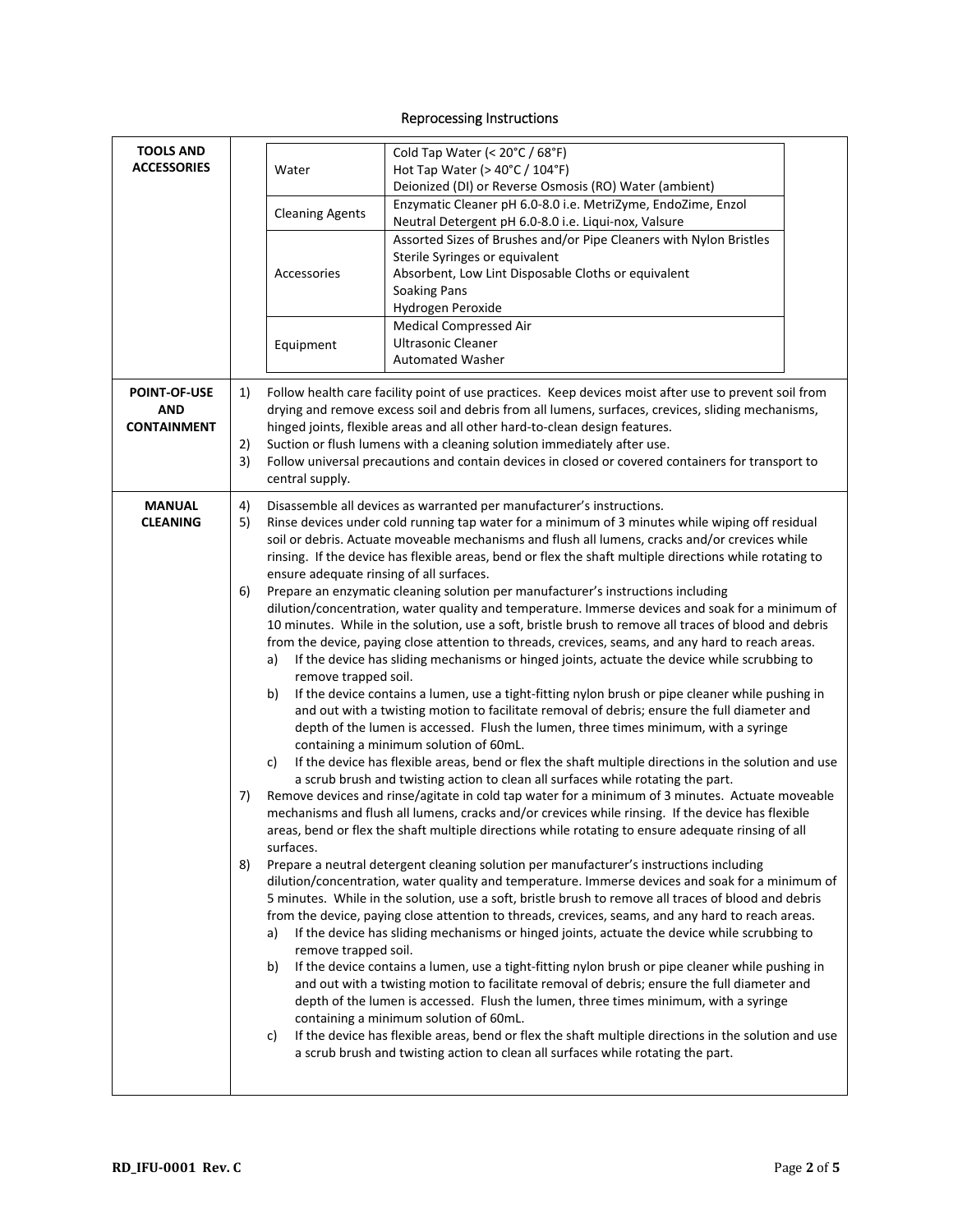## Reprocessing Instructions

| <b>TOOLS AND</b>                 |          |                                          | Cold Tap Water (< 20°C / 68°F)                                                                                                                                                                    |  |
|----------------------------------|----------|------------------------------------------|---------------------------------------------------------------------------------------------------------------------------------------------------------------------------------------------------|--|
| <b>ACCESSORIES</b>               |          | Water                                    | Hot Tap Water (> $40^{\circ}$ C / $104^{\circ}$ F)                                                                                                                                                |  |
|                                  |          |                                          | Deionized (DI) or Reverse Osmosis (RO) Water (ambient)                                                                                                                                            |  |
|                                  |          |                                          | Enzymatic Cleaner pH 6.0-8.0 i.e. MetriZyme, EndoZime, Enzol                                                                                                                                      |  |
|                                  |          | <b>Cleaning Agents</b>                   | Neutral Detergent pH 6.0-8.0 i.e. Liqui-nox, Valsure                                                                                                                                              |  |
|                                  |          |                                          | Assorted Sizes of Brushes and/or Pipe Cleaners with Nylon Bristles                                                                                                                                |  |
|                                  |          |                                          | Sterile Syringes or equivalent                                                                                                                                                                    |  |
|                                  |          | Accessories                              | Absorbent, Low Lint Disposable Cloths or equivalent                                                                                                                                               |  |
|                                  |          |                                          | <b>Soaking Pans</b>                                                                                                                                                                               |  |
|                                  |          |                                          | Hydrogen Peroxide<br><b>Medical Compressed Air</b>                                                                                                                                                |  |
|                                  |          | Equipment                                | <b>Ultrasonic Cleaner</b>                                                                                                                                                                         |  |
|                                  |          |                                          | <b>Automated Washer</b>                                                                                                                                                                           |  |
|                                  |          |                                          |                                                                                                                                                                                                   |  |
| <b>POINT-OF-USE</b>              | 1)       |                                          | Follow health care facility point of use practices. Keep devices moist after use to prevent soil from                                                                                             |  |
| AND                              |          |                                          | drying and remove excess soil and debris from all lumens, surfaces, crevices, sliding mechanisms,                                                                                                 |  |
| <b>CONTAINMENT</b>               |          |                                          | hinged joints, flexible areas and all other hard-to-clean design features.                                                                                                                        |  |
|                                  | 2)<br>3) |                                          | Suction or flush lumens with a cleaning solution immediately after use.<br>Follow universal precautions and contain devices in closed or covered containers for transport to                      |  |
|                                  |          | central supply.                          |                                                                                                                                                                                                   |  |
|                                  |          |                                          |                                                                                                                                                                                                   |  |
| <b>MANUAL</b><br><b>CLEANING</b> | 4)       |                                          | Disassemble all devices as warranted per manufacturer's instructions.                                                                                                                             |  |
|                                  | 5)       |                                          | Rinse devices under cold running tap water for a minimum of 3 minutes while wiping off residual<br>soil or debris. Actuate moveable mechanisms and flush all lumens, cracks and/or crevices while |  |
|                                  |          |                                          | rinsing. If the device has flexible areas, bend or flex the shaft multiple directions while rotating to                                                                                           |  |
|                                  |          | ensure adequate rinsing of all surfaces. |                                                                                                                                                                                                   |  |
|                                  | 6)       |                                          | Prepare an enzymatic cleaning solution per manufacturer's instructions including                                                                                                                  |  |
|                                  |          |                                          | dilution/concentration, water quality and temperature. Immerse devices and soak for a minimum of                                                                                                  |  |
|                                  |          |                                          | 10 minutes. While in the solution, use a soft, bristle brush to remove all traces of blood and debris                                                                                             |  |
|                                  |          |                                          | from the device, paying close attention to threads, crevices, seams, and any hard to reach areas.                                                                                                 |  |
|                                  |          | a)                                       | If the device has sliding mechanisms or hinged joints, actuate the device while scrubbing to                                                                                                      |  |
|                                  |          | remove trapped soil.<br>b)               | If the device contains a lumen, use a tight-fitting nylon brush or pipe cleaner while pushing in                                                                                                  |  |
|                                  |          |                                          | and out with a twisting motion to facilitate removal of debris; ensure the full diameter and                                                                                                      |  |
|                                  |          |                                          | depth of the lumen is accessed. Flush the lumen, three times minimum, with a syringe                                                                                                              |  |
|                                  |          |                                          | containing a minimum solution of 60mL.                                                                                                                                                            |  |
|                                  |          | c)                                       | If the device has flexible areas, bend or flex the shaft multiple directions in the solution and use                                                                                              |  |
|                                  |          |                                          | a scrub brush and twisting action to clean all surfaces while rotating the part.                                                                                                                  |  |
|                                  | 7)       |                                          | Remove devices and rinse/agitate in cold tap water for a minimum of 3 minutes. Actuate moveable                                                                                                   |  |
|                                  |          |                                          | mechanisms and flush all lumens, cracks and/or crevices while rinsing. If the device has flexible                                                                                                 |  |
|                                  |          | surfaces.                                | areas, bend or flex the shaft multiple directions while rotating to ensure adequate rinsing of all                                                                                                |  |
|                                  | 8)       |                                          | Prepare a neutral detergent cleaning solution per manufacturer's instructions including                                                                                                           |  |
|                                  |          |                                          | dilution/concentration, water quality and temperature. Immerse devices and soak for a minimum of                                                                                                  |  |
|                                  |          |                                          | 5 minutes. While in the solution, use a soft, bristle brush to remove all traces of blood and debris                                                                                              |  |
|                                  |          |                                          | from the device, paying close attention to threads, crevices, seams, and any hard to reach areas.                                                                                                 |  |
|                                  |          | a)                                       | If the device has sliding mechanisms or hinged joints, actuate the device while scrubbing to                                                                                                      |  |
|                                  |          | remove trapped soil.                     |                                                                                                                                                                                                   |  |
|                                  |          | b)                                       | If the device contains a lumen, use a tight-fitting nylon brush or pipe cleaner while pushing in                                                                                                  |  |
|                                  |          |                                          | and out with a twisting motion to facilitate removal of debris; ensure the full diameter and<br>depth of the lumen is accessed. Flush the lumen, three times minimum, with a syringe              |  |
|                                  |          |                                          | containing a minimum solution of 60mL.                                                                                                                                                            |  |
|                                  |          | C)                                       | If the device has flexible areas, bend or flex the shaft multiple directions in the solution and use                                                                                              |  |
|                                  |          |                                          | a scrub brush and twisting action to clean all surfaces while rotating the part.                                                                                                                  |  |
|                                  |          |                                          |                                                                                                                                                                                                   |  |
|                                  |          |                                          |                                                                                                                                                                                                   |  |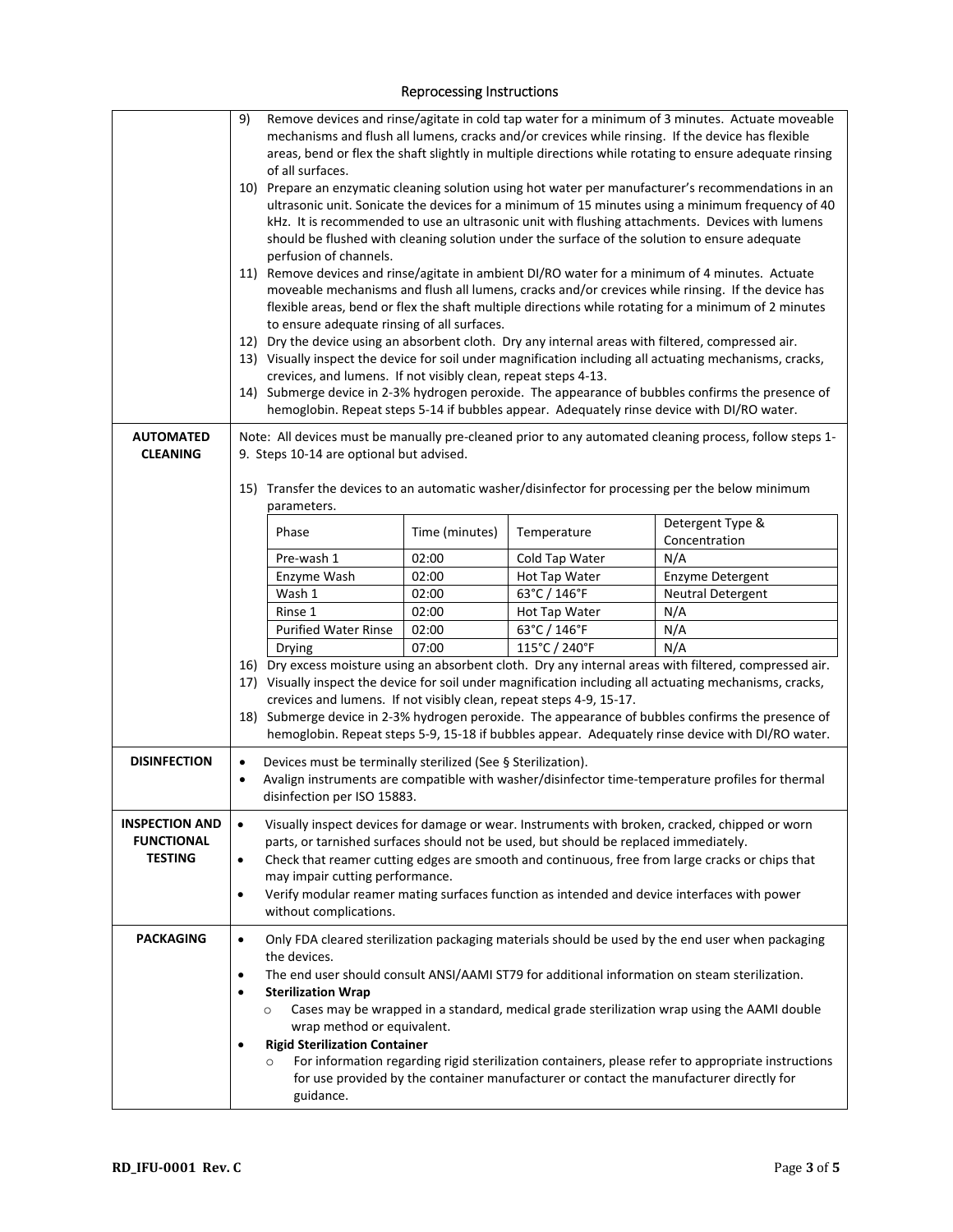#### Reprocessing Instructions

| <b>AUTOMATED</b>                                      | 9)                                                                                                                                                                                                                                                                                                                                                                                                                                                                                   | Remove devices and rinse/agitate in cold tap water for a minimum of 3 minutes. Actuate moveable<br>mechanisms and flush all lumens, cracks and/or crevices while rinsing. If the device has flexible<br>areas, bend or flex the shaft slightly in multiple directions while rotating to ensure adequate rinsing<br>of all surfaces.<br>10) Prepare an enzymatic cleaning solution using hot water per manufacturer's recommendations in an<br>ultrasonic unit. Sonicate the devices for a minimum of 15 minutes using a minimum frequency of 40<br>kHz. It is recommended to use an ultrasonic unit with flushing attachments. Devices with lumens<br>should be flushed with cleaning solution under the surface of the solution to ensure adequate<br>perfusion of channels.<br>11) Remove devices and rinse/agitate in ambient DI/RO water for a minimum of 4 minutes. Actuate<br>moveable mechanisms and flush all lumens, cracks and/or crevices while rinsing. If the device has<br>flexible areas, bend or flex the shaft multiple directions while rotating for a minimum of 2 minutes<br>to ensure adequate rinsing of all surfaces.<br>12) Dry the device using an absorbent cloth. Dry any internal areas with filtered, compressed air.<br>13) Visually inspect the device for soil under magnification including all actuating mechanisms, cracks,<br>crevices, and lumens. If not visibly clean, repeat steps 4-13.<br>14) Submerge device in 2-3% hydrogen peroxide. The appearance of bubbles confirms the presence of<br>hemoglobin. Repeat steps 5-14 if bubbles appear. Adequately rinse device with DI/RO water.<br>Note: All devices must be manually pre-cleaned prior to any automated cleaning process, follow steps 1- |                |                                                                                         |                                                                                                                                                                                                                                                                                                   |
|-------------------------------------------------------|--------------------------------------------------------------------------------------------------------------------------------------------------------------------------------------------------------------------------------------------------------------------------------------------------------------------------------------------------------------------------------------------------------------------------------------------------------------------------------------|------------------------------------------------------------------------------------------------------------------------------------------------------------------------------------------------------------------------------------------------------------------------------------------------------------------------------------------------------------------------------------------------------------------------------------------------------------------------------------------------------------------------------------------------------------------------------------------------------------------------------------------------------------------------------------------------------------------------------------------------------------------------------------------------------------------------------------------------------------------------------------------------------------------------------------------------------------------------------------------------------------------------------------------------------------------------------------------------------------------------------------------------------------------------------------------------------------------------------------------------------------------------------------------------------------------------------------------------------------------------------------------------------------------------------------------------------------------------------------------------------------------------------------------------------------------------------------------------------------------------------------------------------------------------------------------------------------------------------------------------|----------------|-----------------------------------------------------------------------------------------|---------------------------------------------------------------------------------------------------------------------------------------------------------------------------------------------------------------------------------------------------------------------------------------------------|
| <b>CLEANING</b>                                       | 9. Steps 10-14 are optional but advised.                                                                                                                                                                                                                                                                                                                                                                                                                                             |                                                                                                                                                                                                                                                                                                                                                                                                                                                                                                                                                                                                                                                                                                                                                                                                                                                                                                                                                                                                                                                                                                                                                                                                                                                                                                                                                                                                                                                                                                                                                                                                                                                                                                                                                |                |                                                                                         |                                                                                                                                                                                                                                                                                                   |
|                                                       | 15) Transfer the devices to an automatic washer/disinfector for processing per the below minimum<br>parameters.                                                                                                                                                                                                                                                                                                                                                                      |                                                                                                                                                                                                                                                                                                                                                                                                                                                                                                                                                                                                                                                                                                                                                                                                                                                                                                                                                                                                                                                                                                                                                                                                                                                                                                                                                                                                                                                                                                                                                                                                                                                                                                                                                |                |                                                                                         |                                                                                                                                                                                                                                                                                                   |
|                                                       |                                                                                                                                                                                                                                                                                                                                                                                                                                                                                      | Phase                                                                                                                                                                                                                                                                                                                                                                                                                                                                                                                                                                                                                                                                                                                                                                                                                                                                                                                                                                                                                                                                                                                                                                                                                                                                                                                                                                                                                                                                                                                                                                                                                                                                                                                                          | Time (minutes) | Temperature                                                                             | Detergent Type &<br>Concentration                                                                                                                                                                                                                                                                 |
|                                                       |                                                                                                                                                                                                                                                                                                                                                                                                                                                                                      | Pre-wash 1                                                                                                                                                                                                                                                                                                                                                                                                                                                                                                                                                                                                                                                                                                                                                                                                                                                                                                                                                                                                                                                                                                                                                                                                                                                                                                                                                                                                                                                                                                                                                                                                                                                                                                                                     | 02:00          | Cold Tap Water                                                                          | N/A                                                                                                                                                                                                                                                                                               |
|                                                       |                                                                                                                                                                                                                                                                                                                                                                                                                                                                                      | Enzyme Wash                                                                                                                                                                                                                                                                                                                                                                                                                                                                                                                                                                                                                                                                                                                                                                                                                                                                                                                                                                                                                                                                                                                                                                                                                                                                                                                                                                                                                                                                                                                                                                                                                                                                                                                                    | 02:00          | Hot Tap Water                                                                           | Enzyme Detergent                                                                                                                                                                                                                                                                                  |
|                                                       |                                                                                                                                                                                                                                                                                                                                                                                                                                                                                      | Wash 1                                                                                                                                                                                                                                                                                                                                                                                                                                                                                                                                                                                                                                                                                                                                                                                                                                                                                                                                                                                                                                                                                                                                                                                                                                                                                                                                                                                                                                                                                                                                                                                                                                                                                                                                         | 02:00          | 63°C / 146°F                                                                            | <b>Neutral Detergent</b>                                                                                                                                                                                                                                                                          |
|                                                       |                                                                                                                                                                                                                                                                                                                                                                                                                                                                                      | Rinse 1                                                                                                                                                                                                                                                                                                                                                                                                                                                                                                                                                                                                                                                                                                                                                                                                                                                                                                                                                                                                                                                                                                                                                                                                                                                                                                                                                                                                                                                                                                                                                                                                                                                                                                                                        | 02:00          | Hot Tap Water                                                                           | N/A                                                                                                                                                                                                                                                                                               |
|                                                       |                                                                                                                                                                                                                                                                                                                                                                                                                                                                                      | <b>Purified Water Rinse</b>                                                                                                                                                                                                                                                                                                                                                                                                                                                                                                                                                                                                                                                                                                                                                                                                                                                                                                                                                                                                                                                                                                                                                                                                                                                                                                                                                                                                                                                                                                                                                                                                                                                                                                                    | 02:00          | 63°C / 146°F                                                                            | N/A                                                                                                                                                                                                                                                                                               |
|                                                       |                                                                                                                                                                                                                                                                                                                                                                                                                                                                                      | Drying                                                                                                                                                                                                                                                                                                                                                                                                                                                                                                                                                                                                                                                                                                                                                                                                                                                                                                                                                                                                                                                                                                                                                                                                                                                                                                                                                                                                                                                                                                                                                                                                                                                                                                                                         | 07:00          | 115°C / 240°F                                                                           | N/A                                                                                                                                                                                                                                                                                               |
|                                                       |                                                                                                                                                                                                                                                                                                                                                                                                                                                                                      | 16) Dry excess moisture using an absorbent cloth. Dry any internal areas with filtered, compressed air.<br>17) Visually inspect the device for soil under magnification including all actuating mechanisms, cracks,<br>crevices and lumens. If not visibly clean, repeat steps 4-9, 15-17.<br>18) Submerge device in 2-3% hydrogen peroxide. The appearance of bubbles confirms the presence of<br>hemoglobin. Repeat steps 5-9, 15-18 if bubbles appear. Adequately rinse device with DI/RO water.                                                                                                                                                                                                                                                                                                                                                                                                                                                                                                                                                                                                                                                                                                                                                                                                                                                                                                                                                                                                                                                                                                                                                                                                                                            |                |                                                                                         |                                                                                                                                                                                                                                                                                                   |
| <b>DISINFECTION</b>                                   | $\bullet$<br>$\bullet$                                                                                                                                                                                                                                                                                                                                                                                                                                                               | Devices must be terminally sterilized (See § Sterilization).<br>disinfection per ISO 15883.                                                                                                                                                                                                                                                                                                                                                                                                                                                                                                                                                                                                                                                                                                                                                                                                                                                                                                                                                                                                                                                                                                                                                                                                                                                                                                                                                                                                                                                                                                                                                                                                                                                    |                |                                                                                         | Avalign instruments are compatible with washer/disinfector time-temperature profiles for thermal                                                                                                                                                                                                  |
| <b>INSPECTION AND</b><br><b>FUNCTIONAL</b><br>TESTING | Visually inspect devices for damage or wear. Instruments with broken, cracked, chipped or worn<br>$\bullet$<br>parts, or tarnished surfaces should not be used, but should be replaced immediately.<br>Check that reamer cutting edges are smooth and continuous, free from large cracks or chips that<br>$\bullet$<br>may impair cutting performance.<br>Verify modular reamer mating surfaces function as intended and device interfaces with power<br>٠<br>without complications. |                                                                                                                                                                                                                                                                                                                                                                                                                                                                                                                                                                                                                                                                                                                                                                                                                                                                                                                                                                                                                                                                                                                                                                                                                                                                                                                                                                                                                                                                                                                                                                                                                                                                                                                                                |                |                                                                                         |                                                                                                                                                                                                                                                                                                   |
| <b>PACKAGING</b>                                      | $\bullet$                                                                                                                                                                                                                                                                                                                                                                                                                                                                            | the devices.                                                                                                                                                                                                                                                                                                                                                                                                                                                                                                                                                                                                                                                                                                                                                                                                                                                                                                                                                                                                                                                                                                                                                                                                                                                                                                                                                                                                                                                                                                                                                                                                                                                                                                                                   |                |                                                                                         | Only FDA cleared sterilization packaging materials should be used by the end user when packaging                                                                                                                                                                                                  |
|                                                       | $\bullet$<br>$\bullet$                                                                                                                                                                                                                                                                                                                                                                                                                                                               | <b>Sterilization Wrap</b><br>$\circ$<br>wrap method or equivalent.<br><b>Rigid Sterilization Container</b><br>$\circ$<br>guidance.                                                                                                                                                                                                                                                                                                                                                                                                                                                                                                                                                                                                                                                                                                                                                                                                                                                                                                                                                                                                                                                                                                                                                                                                                                                                                                                                                                                                                                                                                                                                                                                                             |                | for use provided by the container manufacturer or contact the manufacturer directly for | The end user should consult ANSI/AAMI ST79 for additional information on steam sterilization.<br>Cases may be wrapped in a standard, medical grade sterilization wrap using the AAMI double<br>For information regarding rigid sterilization containers, please refer to appropriate instructions |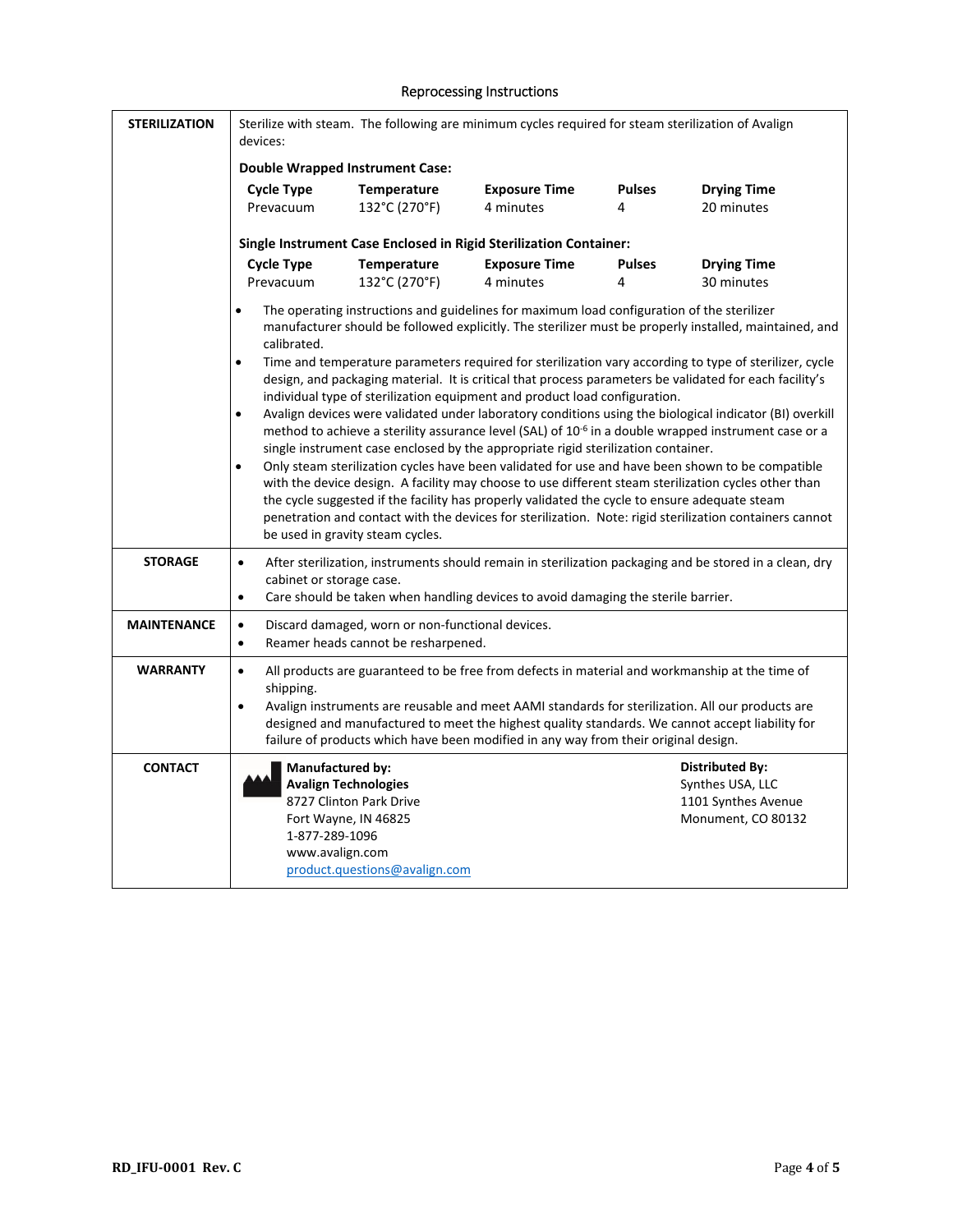## Reprocessing Instructions

| <b>STERILIZATION</b> | Sterilize with steam. The following are minimum cycles required for steam sterilization of Avalign<br>devices:                                                                                                                                                                                                                                                                                                                                                                                                                                                                                                                                                                                                                                                                                                                                   |                                                                                                                 |                                                                                                                                                                                       |                    |                                                                                                                                                                                                     |
|----------------------|--------------------------------------------------------------------------------------------------------------------------------------------------------------------------------------------------------------------------------------------------------------------------------------------------------------------------------------------------------------------------------------------------------------------------------------------------------------------------------------------------------------------------------------------------------------------------------------------------------------------------------------------------------------------------------------------------------------------------------------------------------------------------------------------------------------------------------------------------|-----------------------------------------------------------------------------------------------------------------|---------------------------------------------------------------------------------------------------------------------------------------------------------------------------------------|--------------------|-----------------------------------------------------------------------------------------------------------------------------------------------------------------------------------------------------|
|                      | <b>Double Wrapped Instrument Case:</b>                                                                                                                                                                                                                                                                                                                                                                                                                                                                                                                                                                                                                                                                                                                                                                                                           |                                                                                                                 |                                                                                                                                                                                       |                    |                                                                                                                                                                                                     |
|                      | <b>Cycle Type</b><br>Prevacuum                                                                                                                                                                                                                                                                                                                                                                                                                                                                                                                                                                                                                                                                                                                                                                                                                   | Temperature<br>132°C (270°F)                                                                                    | <b>Exposure Time</b><br>4 minutes                                                                                                                                                     | <b>Pulses</b><br>4 | <b>Drying Time</b><br>20 minutes                                                                                                                                                                    |
|                      | Single Instrument Case Enclosed in Rigid Sterilization Container:                                                                                                                                                                                                                                                                                                                                                                                                                                                                                                                                                                                                                                                                                                                                                                                |                                                                                                                 |                                                                                                                                                                                       |                    |                                                                                                                                                                                                     |
|                      | <b>Cycle Type</b>                                                                                                                                                                                                                                                                                                                                                                                                                                                                                                                                                                                                                                                                                                                                                                                                                                | Temperature                                                                                                     | <b>Exposure Time</b>                                                                                                                                                                  | <b>Pulses</b>      | <b>Drying Time</b>                                                                                                                                                                                  |
|                      | Prevacuum                                                                                                                                                                                                                                                                                                                                                                                                                                                                                                                                                                                                                                                                                                                                                                                                                                        | 132°C (270°F)                                                                                                   | 4 minutes                                                                                                                                                                             | 4                  | 30 minutes                                                                                                                                                                                          |
|                      | The operating instructions and guidelines for maximum load configuration of the sterilizer<br>$\bullet$<br>manufacturer should be followed explicitly. The sterilizer must be properly installed, maintained, and<br>calibrated.<br>Time and temperature parameters required for sterilization vary according to type of sterilizer, cycle<br>$\bullet$<br>design, and packaging material. It is critical that process parameters be validated for each facility's                                                                                                                                                                                                                                                                                                                                                                               |                                                                                                                 |                                                                                                                                                                                       |                    |                                                                                                                                                                                                     |
|                      | individual type of sterilization equipment and product load configuration.<br>Avalign devices were validated under laboratory conditions using the biological indicator (BI) overkill<br>$\bullet$<br>method to achieve a sterility assurance level (SAL) of 10 <sup>-6</sup> in a double wrapped instrument case or a<br>single instrument case enclosed by the appropriate rigid sterilization container.<br>Only steam sterilization cycles have been validated for use and have been shown to be compatible<br>$\bullet$<br>with the device design. A facility may choose to use different steam sterilization cycles other than<br>the cycle suggested if the facility has properly validated the cycle to ensure adequate steam<br>penetration and contact with the devices for sterilization. Note: rigid sterilization containers cannot |                                                                                                                 |                                                                                                                                                                                       |                    |                                                                                                                                                                                                     |
|                      |                                                                                                                                                                                                                                                                                                                                                                                                                                                                                                                                                                                                                                                                                                                                                                                                                                                  | be used in gravity steam cycles.                                                                                |                                                                                                                                                                                       |                    |                                                                                                                                                                                                     |
| <b>STORAGE</b>       | $\bullet$<br>cabinet or storage case.<br>$\bullet$                                                                                                                                                                                                                                                                                                                                                                                                                                                                                                                                                                                                                                                                                                                                                                                               |                                                                                                                 | Care should be taken when handling devices to avoid damaging the sterile barrier.                                                                                                     |                    | After sterilization, instruments should remain in sterilization packaging and be stored in a clean, dry                                                                                             |
| <b>MAINTENANCE</b>   | $\bullet$<br>$\bullet$                                                                                                                                                                                                                                                                                                                                                                                                                                                                                                                                                                                                                                                                                                                                                                                                                           | Discard damaged, worn or non-functional devices.<br>Reamer heads cannot be resharpened.                         |                                                                                                                                                                                       |                    |                                                                                                                                                                                                     |
| <b>WARRANTY</b>      | $\bullet$<br>shipping.<br>$\bullet$                                                                                                                                                                                                                                                                                                                                                                                                                                                                                                                                                                                                                                                                                                                                                                                                              |                                                                                                                 | All products are guaranteed to be free from defects in material and workmanship at the time of<br>failure of products which have been modified in any way from their original design. |                    | Avalign instruments are reusable and meet AAMI standards for sterilization. All our products are<br>designed and manufactured to meet the highest quality standards. We cannot accept liability for |
| <b>CONTACT</b>       | <b>Manufactured by:</b><br>1-877-289-1096<br>www.avalign.com                                                                                                                                                                                                                                                                                                                                                                                                                                                                                                                                                                                                                                                                                                                                                                                     | <b>Avalign Technologies</b><br>8727 Clinton Park Drive<br>Fort Wayne, IN 46825<br>product.questions@avalign.com |                                                                                                                                                                                       |                    | <b>Distributed By:</b><br>Synthes USA, LLC<br>1101 Synthes Avenue<br>Monument, CO 80132                                                                                                             |